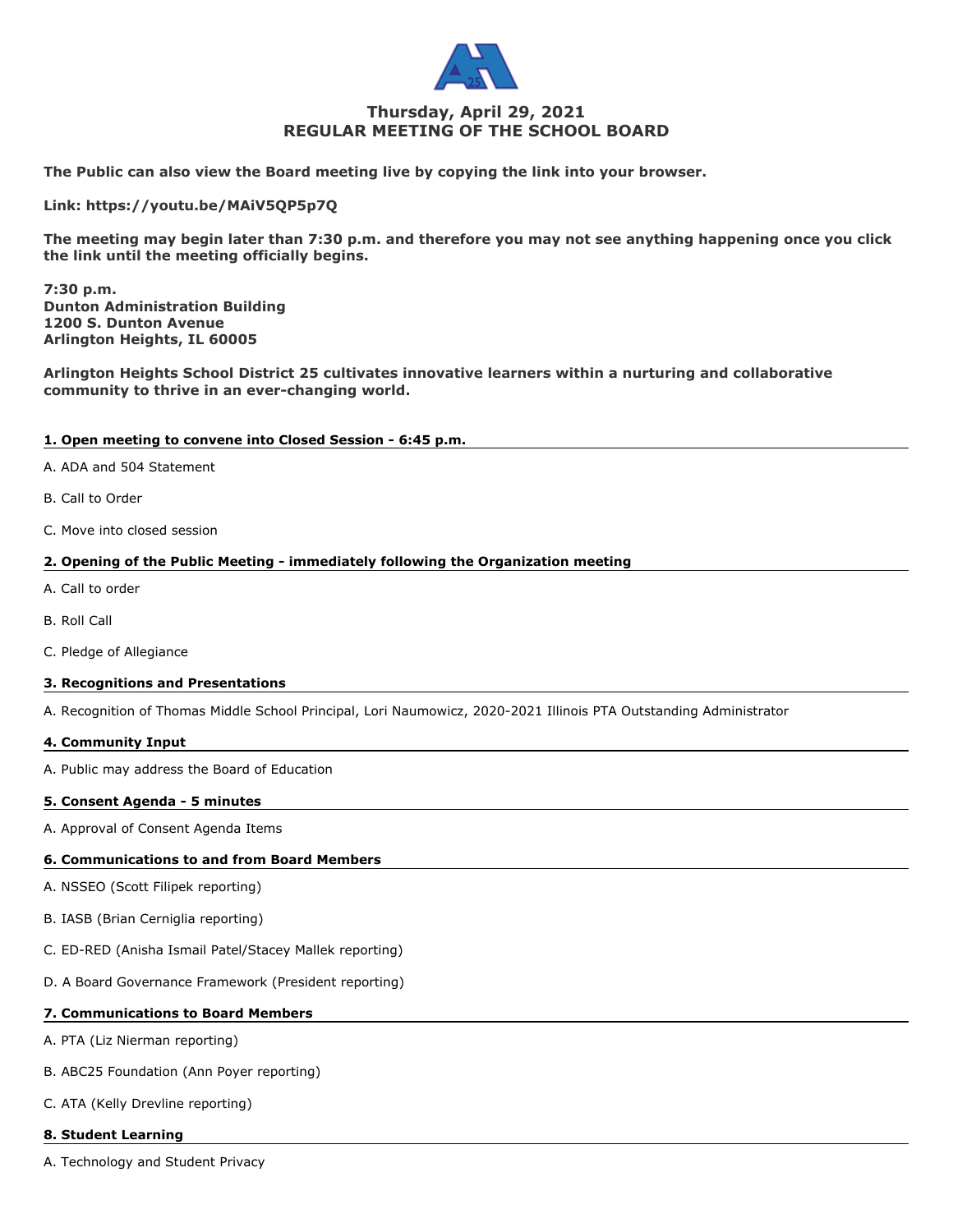

# **Thursday, April 29, 2021 REGULAR MEETING OF THE SCHOOL BOARD**

**The Public can also view the Board meeting live by copying the link into your browser.**

**Link: https://youtu.be/MAiV5QP5p7Q**

**The meeting may begin later than 7:30 p.m. and therefore you may not see anything happening once you click the link until the meeting officially begins.**

**7:30 p.m. Dunton Administration Building 1200 S. Dunton Avenue Arlington Heights, IL 60005**

**Arlington Heights School District 25 cultivates innovative learners within a nurturing and collaborative community to thrive in an ever-changing world.**

# **1. Open meeting to convene into Closed Session - 6:45 p.m.**

- A. ADA and 504 Statement
- B. Call to Order
- C. Move into closed session

# **2. Opening of the Public Meeting - immediately following the Organization meeting**

- A. Call to order
- B. Roll Call
- C. Pledge of Allegiance

# **3. Recognitions and Presentations**

A. Recognition of Thomas Middle School Principal, Lori Naumowicz, 2020-2021 Illinois PTA Outstanding Administrator

#### **4. Community Input**

A. Public may address the Board of Education

#### **5. Consent Agenda - 5 minutes**

A. Approval of Consent Agenda Items

# **6. Communications to and from Board Members**

- A. NSSEO (Scott Filipek reporting)
- B. IASB (Brian Cerniglia reporting)
- C. ED-RED (Anisha Ismail Patel/Stacey Mallek reporting)
- D. A Board Governance Framework (President reporting)

# **7. Communications to Board Members**

A. PTA (Liz Nierman reporting)

- B. ABC25 Foundation (Ann Poyer reporting)
- C. ATA (Kelly Drevline reporting)

### **8. Student Learning**

A. Technology and Student Privacy